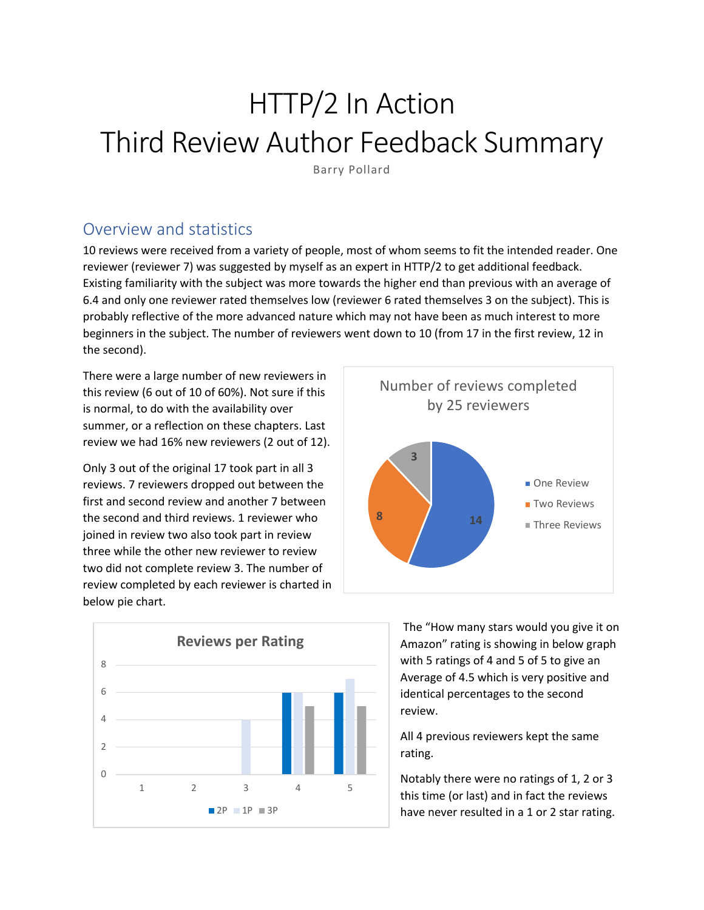# HTTP/2 In Action Third Review Author Feedback Summary

Barry Pollard

# Overview and statistics

10 reviews were received from a variety of people, most of whom seems to fit the intended reader. One reviewer (reviewer 7) was suggested by myself as an expert in HTTP/2 to get additional feedback. Existing familiarity with the subject was more towards the higher end than previous with an average of 6.4 and only one reviewer rated themselves low (reviewer 6 rated themselves 3 on the subject). This is probably reflective of the more advanced nature which may not have been as much interest to more beginners in the subject. The number of reviewers went down to 10 (from 17 in the first review, 12 in the second).

There were a large number of new reviewers in this review (6 out of 10 of 60%). Not sure if this is normal, to do with the availability over summer, or a reflection on these chapters. Last review we had 16% new reviewers (2 out of 12).

Only 3 out of the original 17 took part in all 3 reviews. 7 reviewers dropped out between the first and second review and another 7 between the second and third reviews. 1 reviewer who joined in review two also took part in review three while the other new reviewer to review two did not complete review 3. The number of review completed by each reviewer is charted in below pie chart.





The "How many stars would you give it on Amazon" rating is showing in below graph with 5 ratings of 4 and 5 of 5 to give an Average of 4.5 which is very positive and identical percentages to the second review.

All 4 previous reviewers kept the same rating.

Notably there were no ratings of 1, 2 or 3 this time (or last) and in fact the reviews have never resulted in a 1 or 2 star rating.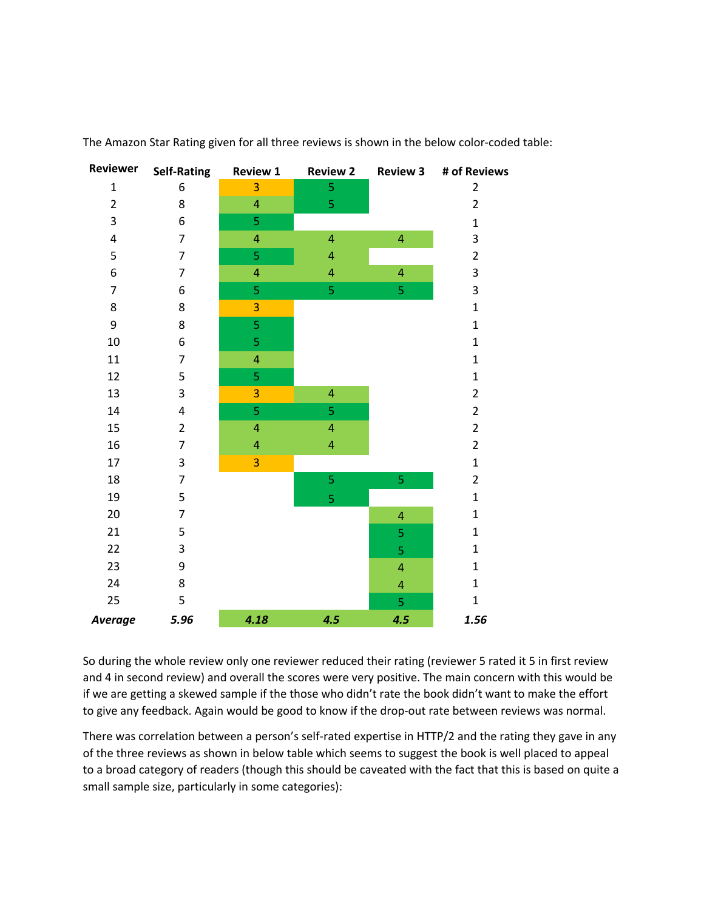

The Amazon Star Rating given for all three reviews is shown in the below color-coded table:

So during the whole review only one reviewer reduced their rating (reviewer 5 rated it 5 in first review and 4 in second review) and overall the scores were very positive. The main concern with this would be if we are getting a skewed sample if the those who didn't rate the book didn't want to make the effort to give any feedback. Again would be good to know if the drop-out rate between reviews was normal.

There was correlation between a person's self-rated expertise in HTTP/2 and the rating they gave in any of the three reviews as shown in below table which seems to suggest the book is well placed to appeal to a broad category of readers (though this should be caveated with the fact that this is based on quite a small sample size, particularly in some categories):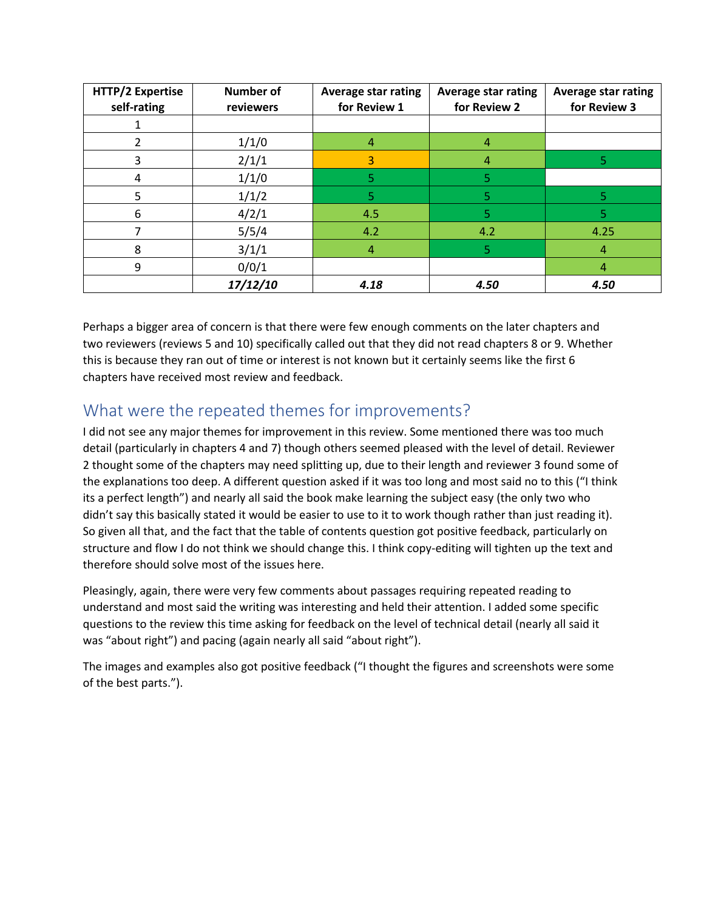| HTTP/2 Expertise<br>self-rating | <b>Number of</b><br>reviewers | <b>Average star rating</b><br>for Review 1 | <b>Average star rating</b><br>for Review 2 | <b>Average star rating</b><br>for Review 3 |
|---------------------------------|-------------------------------|--------------------------------------------|--------------------------------------------|--------------------------------------------|
|                                 |                               |                                            |                                            |                                            |
|                                 | 1/1/0                         |                                            | 4                                          |                                            |
| 3                               | 2/1/1                         | 3                                          | 4                                          |                                            |
| 4                               | 1/1/0                         | 5                                          | 5                                          |                                            |
| 5                               | 1/1/2                         | 5                                          | 5                                          |                                            |
| 6                               | 4/2/1                         | 4.5                                        | 5                                          |                                            |
|                                 | 5/5/4                         | 4.2                                        | 4.2                                        | 4.25                                       |
| 8                               | 3/1/1                         | 4                                          | 5                                          | 4                                          |
| 9                               | 0/0/1                         |                                            |                                            | 4                                          |
|                                 | 17/12/10                      | 4.18                                       | 4.50                                       | 4.50                                       |

Perhaps a bigger area of concern is that there were few enough comments on the later chapters and two reviewers (reviews 5 and 10) specifically called out that they did not read chapters 8 or 9. Whether this is because they ran out of time or interest is not known but it certainly seems like the first 6 chapters have received most review and feedback.

# What were the repeated themes for improvements?

I did not see any major themes for improvement in this review. Some mentioned there was too much detail (particularly in chapters 4 and 7) though others seemed pleased with the level of detail. Reviewer 2 thought some of the chapters may need splitting up, due to their length and reviewer 3 found some of the explanations too deep. A different question asked if it was too long and most said no to this ("I think its a perfect length") and nearly all said the book make learning the subject easy (the only two who didn't say this basically stated it would be easier to use to it to work though rather than just reading it). So given all that, and the fact that the table of contents question got positive feedback, particularly on structure and flow I do not think we should change this. I think copy-editing will tighten up the text and therefore should solve most of the issues here.

Pleasingly, again, there were very few comments about passages requiring repeated reading to understand and most said the writing was interesting and held their attention. I added some specific questions to the review this time asking for feedback on the level of technical detail (nearly all said it was "about right") and pacing (again nearly all said "about right").

The images and examples also got positive feedback ("I thought the figures and screenshots were some of the best parts.").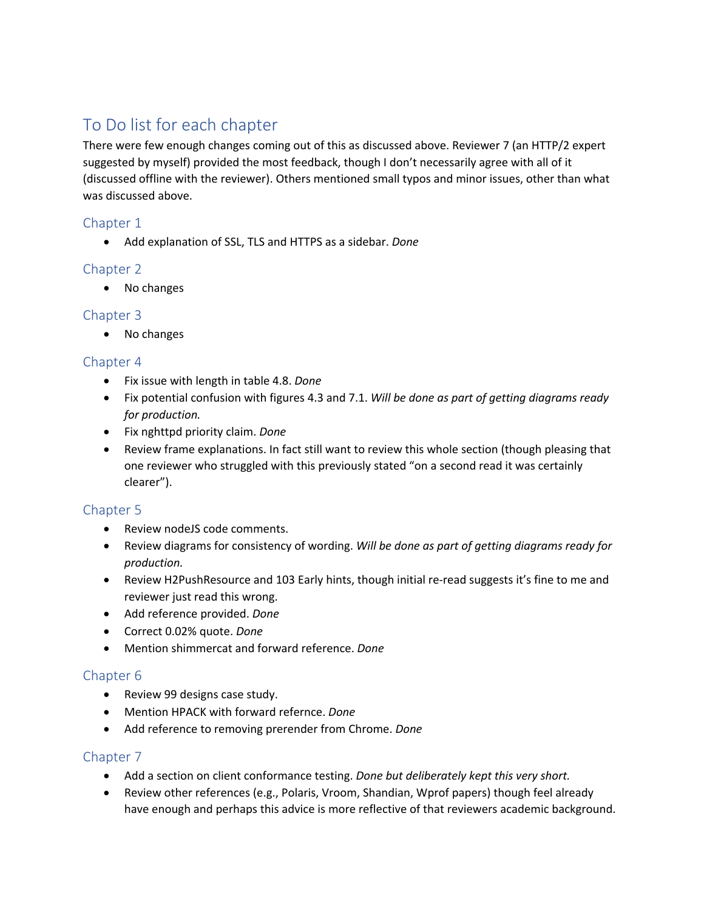# To Do list for each chapter

There were few enough changes coming out of this as discussed above. Reviewer 7 (an HTTP/2 expert suggested by myself) provided the most feedback, though I don't necessarily agree with all of it (discussed offline with the reviewer). Others mentioned small typos and minor issues, other than what was discussed above.

# Chapter 1

• Add explanation of SSL, TLS and HTTPS as a sidebar. *Done*

# Chapter 2

• No changes

# Chapter 3

• No changes

# Chapter 4

- Fix issue with length in table 4.8. *Done*
- Fix potential confusion with figures 4.3 and 7.1. *Will be done as part of getting diagrams ready for production.*
- Fix nghttpd priority claim. *Done*
- Review frame explanations. In fact still want to review this whole section (though pleasing that one reviewer who struggled with this previously stated "on a second read it was certainly clearer").

# Chapter 5

- Review nodeJS code comments.
- Review diagrams for consistency of wording. *Will be done as part of getting diagrams ready for production.*
- Review H2PushResource and 103 Early hints, though initial re-read suggests it's fine to me and reviewer just read this wrong.
- Add reference provided. *Done*
- Correct 0.02% quote. *Done*
- Mention shimmercat and forward reference. *Done*

# Chapter 6

- Review 99 designs case study.
- Mention HPACK with forward refernce. *Done*
- Add reference to removing prerender from Chrome. *Done*

# Chapter 7

- Add a section on client conformance testing. *Done but deliberately kept this very short.*
- Review other references (e.g., Polaris, Vroom, Shandian, Wprof papers) though feel already have enough and perhaps this advice is more reflective of that reviewers academic background.